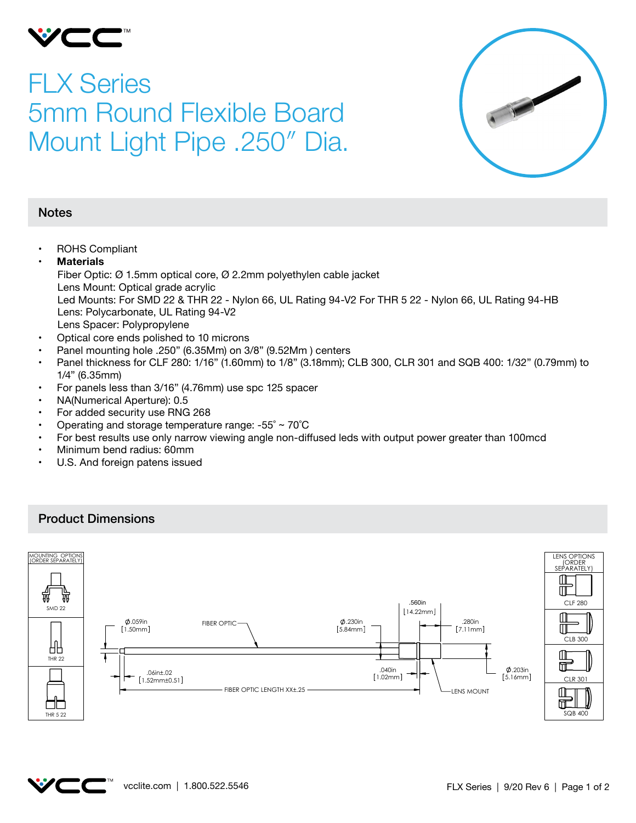

## FLX Series 5mm Round Flexible Board Mount Light Pipe .250″ Dia.



- • ROHS Compliant
- **• Materials** Fiber Optic: Ø 1.5mm optical core, Ø 2.2mm polyethylen cable jacket Lens Mount: Optical grade acrylic Led Mounts: For SMD 22 & THR 22 - Nylon 66, UL Rating 94-V2 For THR 5 22 - Nylon 66, UL Rating 94-HB Lens: Polycarbonate, UL Rating 94-V2 Lens Spacer: Polypropylene
- • Optical core ends polished to 10 microns
- Panel mounting hole .250" (6.35Mm) on 3/8" (9.52Mm) centers
- Panel thickness for CLF 280: 1/16" (1.60mm) to 1/8" (3.18mm); CLB 300, CLR 301 and SQB 400: 1/32" (0.79mm) to 1/4" (6.35mm)
- For panels less than 3/16" (4.76mm) use spc 125 spacer
- NA(Numerical Aperture): 0.5
- For added security use RNG 268
- Operating and storage temperature range:  $-55^\circ \sim 70^\circ C$
- For best results use only narrow viewing angle non-diffused leds with output power greater than 100mcd
- Minimum bend radius: 60mm
- • U.S. And foreign patens issued

## Product Dimensions